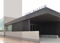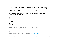The Utah Division of Arts & Museums invites you to discover Utah's museums through a variety of exhibits and programs our museums have to offer. Over 260 Utah museums offer you a rich and diverse experience in a wide range of subjects, from art, culture, and history to science, botanical gardens, and zoos.

This directory has divided Utah Museums into six regions with cities listed alphabetically in each region:

Wasatch Front Northern Eastern West Desert Central Southwest

For additional information on Utah's museums, please see the Utah Museums Association website: utahmuseums.org

For museum resources, please visit the Utah Division of Arts & Museums website: museums.utah.gov

Utah Division of Arts & Museums | 617 E South Temple, SLC, UT 84102 | (801) 245-7288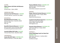**ALPINE Alpine Historic DUP Relic Hall Museum HISTORY**  50 North Main | Alpine, 84004

**AMERICAN FORK American Fork DUP Museum** | **HISTORY** 50 South 100 East | American Fork, 84003

## **BOUNTIFUL**

**Bountiful/Davis Art Center | ART** 90 North Main Street | Bountiful, 84010

(801) 295-3618 bdac.org

## **Bountiful Historical Museum | HISTORY**

845 South Main, Ste 5B | Bountiful, 84010 bountifulutah.gov/historicalcommission

## **Jeremiah Willey DUP Cabin | HISTORY**

745 South Main Street | Bountiful, 84010

## **CENTERVILLE Centerville DUP Cabin | HISTORIC SITE** 300 East 100 South | Centerville, 84014

## **Thomas Whitaker Home | HISTORIC SITE**

168 North Main | Centerville, 84014 (801) 335-8843 centervilleut.net/parks.museum.html

#### **DRAPER**

## **Draper Historical Society Museum | HISTORY**

1020 East Pioneer Road | Draper, 84020 (801) 495-3476 draperhistoricalsociety.org

## **Loveland Living Planet Aquarium | AQUARIUM**

12033 South Lone Peak Parkway Draper, 84020 | (801) 355-3474 thelivingplanet.com

#### **Sorenson Home Museum | HISTORIC SITE**

12597 South 900 East | Draper, 84020 (801) 572-3021

## **FAIRFIELD**

## **Camp Floyd/Stage Coach Inn State Park HISTORIC SITE**

18035 West 1540 North | Fairfield, 84013 (801) 768-8932 campfloyd.utah.gov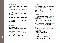#### **FARMINGTON**

## **Charles Penrose Cabin DUP Museum HISTORY**

272 North Main Street | Farmington, 84025

#### **Farmington Historical Museum | HISTORY**

144 East Fort Street | Farmington, 84025 (801) 451-4850 | farmingtonmuseum.com

## **S&S Shortline Train Park and Museum**

**RAILROAD**

577 North 1525 West | Farmington, 84037 (801) 451-0222 visitdavisareautah.com/attractions/ssrailroad.htm

**HIGHLAND Highland DUP Cabin | HISTORY** 5381 West 10400 North | Highland, 84003

## **HILL AIR FORCE BASE**

#### **Hill Aerospace Museum | Aviation**

7961 Wardleigh Road | Hill Air Force Base, 84056 (801) 777-6868 | aerospaceutah.org

#### **KAYSVILLE**

#### **Utah State University Botanical Center BOTANICAL Garden**

725 South Sego Lily Drive | Kaysville, 84037 (801) 593-8969 utahbotanicalcenter.org

## **LAYTON**

#### **Heritage Museum of Layton | HISTORY**

403 North Wasatch Drive | Layton, 84041 (801) 336-3930 laytoncity.org/public/Museum/default.aspx

## **Layton/Kaysville DUP Museum | HISTORY**

403 North Wasatch Drive | Layton, 84041

#### **LEHI**

#### **John Hutchings Museum of Natural History NATURAL HISTORY**

55 North Center Street Lehi, 84043 | (801) 768-7180 hutchingsmuseum.org

#### **Lehi DUP Museum | HISTORY** 50 North Center Street | Lehi, 84043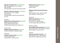## **Museum of Ancient Life | PALEONTOLOGY**

2929 Thanksgiving Way | Lehi, UT 84043 (801) 766-5030 thanksgivingpoint.org/visit/museumofancientlife

## **Museum of Natural Curiosity | CHILDREN'S**

3605 Garden Dr | Lehi, UT 84043 (801) 768-2300 thanksgivingpoint.org/visit/museumofnatural curiosity

#### **MAGNA**

## **Magna Ethnic & Mining Museum | HISTORY**

9056 West Magna Main Street Magna, 84044 | (801) 810-4070 utahethnicandminingmuseumofmagna.com

## **MAPLETON**

# **Mapleton Historical Museum | HISTORY**

370 North 1600 West | Mapleton, 84664

#### **MIDVALE**

# **Hawaiian Cultural Center | CULTURAL**

741 West Smelter Street Midvale, 84047 | (801) 562-5642

## **Midvale Drown Cabin | HISTORY**

7700 South 750 West Midvale, 84047

#### **Midvale Historical Society & Museum HISTORY**

7697 South Main Street | Midvale, 84047 (801) 569-8040 | midavalecity.org

## **MURRAY**

## **Murray City Museum | HISTORY** 5025 South State, Ste 100 Murray, 84107 | (801) 264-2589 murray.utah.gov/index.aspx?NID=290

#### **NORTH OGDEN**

## **North Ogden Historical Museum | HISTORY**

545 East 2750 North | North Ogden City, 84414 (801) 782-4458 | nohmuseum.org

## **OGDEN**

#### **Eccles Community Art Center | ART**

2580 Jefferson Avenue | Ogden, 84401 (801) 392-6935 |ogden4arts.org/home/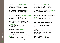#### **Fort Buenaventura | HISTORIC SITE**

2450 A Avenue | Ogden, 84401 (801) 399-8491 | co.weber.ut.us/parks/fortb/

#### **Mary Elizabeth Dee Shaw Gallery | ART**

3964 West Campus Drive | Ogden, 84408 (801) 626-6420 | weber-edu-dova.org/shawgallery/

#### **Ogden Botanical Garden | BOTANICAL GARDEN**

1750 Monroe Blvd | Ogden, 84401 (801) 399-8200 | ogdenbotanicalgardens.org

#### **Ogden George S. Eccles Dinosaur Park & Elizabeth Stewart Natural History Museum PALEONTOLOGY**

1544 East Park Blvd | Ogden, 84401 (801) 393-3466 | dinosaurpark.org

#### **Ogden Nature Center | NATURE**

966 West 12th Street | Ogden, 84404 (801) 621-7595 | ogdennaturecenter.org

#### **Ogden Union Station Foundation and Museum HISTORY**

2501 Wall Avenue | Ogden, 84401 (801) 393-9890 | theunionstation.org

#### **Ott Planetarium** | **PLANETARIUM**

1551 Edvalson Street | Ogden, 84403 (801) 626-6871 | weber.edu/planetarium

#### **Treehouse Children's Museum | CHILDREN'S**

347 East 22nd Street | Ogden, 84401 (801) 394-9663 | treehousemuseum.org

#### **Weber County DUP and Miles Goodyear Cabin HISTORY**

2104 Lincoln Avenue | Ogden, 84401 weberdupmuseum.org

#### **Weber State Museum of Natural Science**

#### **NATURAL HISTORY**

1550 Edvalson Street | Ogden, 84408 (801) 626-6160

#### **OREM**

#### **Nielsen's Grove Museum | HISTORY** 2000 South Sandhill Road | Orem, 84057 (801) 874-4818

**Orem DUP Museum | HISTORY** 745 South State Street | Orem, 84058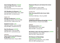#### **Orem Heritage Museum | HISTORY**

745 South State Street | Orem, 84058 (801) 225-2569 scera.org/contents/view/17/museum.html

#### **UVU Woodbury Art Museum | ART**

575 University Parkway #250 | Orem, 84097 (801) 863-4200 | uvu.edu/museum

## **PARK CITY**

**Alf Engen Ski Museum | HISTORY** 3419 Olympic Parkway | Park City, 84098 (435) 658-4240 | engenmuseum.org

## **Kimball Art Center | ART**

1401 Kearns Avenue | Park City, 84060 (435) 649-8882 | kimballartcenter.org

## **Park City Museum | HISTORY**

528 Main Street | Park City, 84060 (435) 649-7457 | parkcityhistory.org

#### **PAYSON**

**Payson South County DUP Museum & Log Cabin | HISTORY**  439 South State Street | Payson, 84651

## **Peteetneet Museum and Cultural Arts Center HISTORY**

10 North 600 East | Payson, 84651 (801) 465-9427 | peteetneetmuseum.org

**PLAIN CITY Plain City Camp DUP & John Carver Cabin HISTORY** 2223 North 4300 West | Plain City, 84404

# **PLEASEANT GROVE**

**Old Bell School DUP Museum & Log Cabin | HISTORY** 80 South 100 East | Pleasant Grove, 84062

## **PROVO**

**BYU Museum of Art | ART** North Campus Drive | Provo, 84602 (801) 422-8287 | moa.byu.edu

## **BYU Monte L Bean Life Science Museum | SCIENCE**

645 East 1430 North | Provo, 84602 (801) 422-5050 | mlbean.byu.edu

#### **BYU Museum of Paleontology GEOLOGY/PALEONTOLOGY**

1683 North Canyon Road; BYU | Provo, 84602 (801) 422-3680 | geology.byu.edu **5**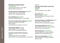#### **BYU Museum of Peoples & Cultures ANTHROPOLOGY**

2201 North Canyon Road | Provo, 84604 (801) 422-0020 | mpc.byu.edu

#### **Crandall Historical Printing Museum |HISTORY**

275 East Center Street | Provo, 84606 (801) 377-7777 | crandallmuseum.org

#### **Provo DUP Museum |HISTORY**

North Park 500 North 500 West | Provo, 84601

#### **Provo Sons of Utah Pioneers Museum |HISTORY**

2343 North 1000 East| Provo, 84604 (801) 375-9299 sonsofutahpioneers.org/pioneer-museums

#### **Provo Pioneer Village | HISTORY**

500 West 600 North | Provo, 84601 (801) 375-9299 | provopioneervillage.org

#### **Utah State Hospital Historical Museum HISTORY**

1300 East Center Street | Provo, 84606 (801) 344-4400 | ush.utah.gov/historical\_museum.html

#### **SALEM**

**Salem DUP Museum/Mt. Loafer Camp Log Cabin HISTORY** 301 South 300 West | Salem, 84653

## **SALT LAKE CITY Beehive House | HISTORY** 67 East South Temple | Salt Lake City, 84111 (801) 240-2681

#### **Chase Home Museum of Utah Folk Arts | ART**

Liberty Park | Salt Lake City, 84102 (801) 533-5760 | artsandmuseums.utah.gov

## **Church History Museum | HISTORY** 45 North West Temple | Salt Lake City, 84150 (801) 240-4615 | lds.org/museum

## **Clark Planetarium | PLANETARIUM**

110 South 400 West | Salt Lake City, 84101 (801) 456-7827 | clarkplanetarium.org

## **Classic Cars International | HISTORY**

355 West 700 South | Salt Lake City, 84101 (801) 322-5509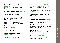444 West 100 South | Salt Lake City, 84101 (801) 456-5437 | discoverygateway.org

## **Fort Douglas Military Museum | MILITARY**

32 Potter Street | Salt Lake City, 84113 (801) 581-1251 | fortdouglas.org

## **Gilgal Gardens and Sculpture Park | HISTORY**

749 East 500 South | Salt Lake City, 84102 gilgalgarden.org

## **Hellenic Cultural Museum | HISTORY**

279 South 300 West | Salt Lake City, 84101 (801) 359-4163 | pahh.com/hca/museum.html

## **The Leonardo | SCIENCE**

209 East 500 South | Salt Lake City, 84110 (801) 531-9800 | theleonardo.org

#### **Natural History Museum of Utah NATURAL HISTORY**

301 Wakara Way | Salt Lake City, 84108 (801) 581-6927 | umnh.utah.edu

## **Pioneer Memorial Museum | HISTORY**

300 North Main Street | Salt Lake City, 84103 (801) 532-6479 | dupinternational.org

## **Price Family Holocaust Memorial Garden HISTORY**

I J & Jeanne Wagner Jewish Community Center 2 North Medical Drive | Salt Lake City, 84113 (801) 581-0098 slcjcc.org/price-family-holocaust-memorial-garden

## **Red Butte Garden and Arboretum | GARDEN**

300 Wakara Way | Salt Lake City, 84108 (801) 581-4747 | redbuttegarden.org

#### **This Is The Place Heritage Park Museum| HISTORY**

2601 East Sunnyside Avenue | Salt Lake City, 84108 (801) 582-1847 | thisistheplace.org

## **Tracy Aviary | ZOOLOGICAL**

589 East 1300 South | Salt Lake City, 84104 (801) 596-8500 | tracyaviary.org

## **Utah's Hogle Zoo | ZOOLOGICAL**

2600 Sunnyside Avenue | Salt Lake City, 84108 (801) 584-1700 | hoglezoo.org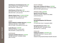#### **Utah Museum of Contemporary Art | ART**

20 South West Temple | Salt Lake City, 84101 (801) 328-4201 | utahmoca.org

## **Utah Museum of Fine Arts | ART**

410 Campus Center Drive | Salt Lake City, 84112 (801) 581-5163 | umfa.utah.edu

#### **Wheeler Historic Farm | LIVING HISTORY**

6351 South 900 East | Salt Lake City, 84121 (385) 468-1755 | wheelerfarm.com

#### **SANDY**

#### **National Model Car Builders Museum | HISTORY** 9460 South 536 West | Sandy, 84094 (801) 523-3683 | themodelcarmuseum.org

**Sandy Museum | HISTORY** 8744 South 150 East | Sandy, 84070 (801) 566-0878 | sandymuseum.org

#### **SANTAQUIN**

#### **Santaquin Chieftain Museum | HISTORY** 100 West 100 South | Santaquin, 84655 (801) 754-3910

## **SOUTH JORDAN**

## **Gale Center of History & Culture | HISTORY**

10300 South Beckstead Lane | South Jordan, 84095 (801) 254-3048 | galecenter.org

## **SPANISH FORK | HISTORY**

#### **Spanish Fork DUP Museum**

390 North and Main | Spanish Fork, 84660 southcenterdup.com

#### **SPRINGVILLE**

## **Springville/Mapleton DUP Museum HISTORY**

175 South Main Street | Springville, 84663

#### **Springville Museum of Art | ART**

126 East 400 South | Springville, 84663 (801) 489-2727 | smofa.org

#### **SYRACUSE**

#### **Fielding Garr Ranch | HISTORIC SITE** 4528 West 1700 South | Syracuse, 84075 (801) 554-9253 stateparks.utah.gov/parks/antelope-island/for-educators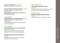## **Syracuse DUP Museum | HISTORY**

1848 West 1700 South | Syracuse, 84075

## **Syracuse Museum & Cultural Center | HISTORY**

1891 West 1700 South | Syracuse, 84075 (801) 825-3633 **syracuseut.com/Community/DiscoverSyracuse/ SyracuseMuseum.aspx**

#### **TAYLORSVILLE**

#### **Taylorsville Bennion Heritage Center | HISTORY**

1488 West 4800 South | Taylorsville, 84123 (801) 281-0631 taylorsvilleut.gov/index.php?module=ibcms&fxn= visitors.heritagecenter

#### **WEST JORDAN**

#### **Conservation Garden Park at Jordan Valley BOTANICAL GARDEN**

8275 South 1300 West | West Jordan, 84088 (801) 565-4300 | conservationgardenpark.org

#### **West Jordan Historical Society and Museum HISTORY**

2053 West 7800 South | West Jordan, 84088 (801) 255-3116 | wjhistory.org

## **WEST VALLEY CITY Utah Cultural Celebration Center CULTURAL**

1355 West 3100 South | West Valley City, 84119 (801) 965-5100 | culturalcelebration.org

**WOODS CROSS**

#### **Woods Cross Hogan Cabin DUP Museum HISTORY**

755 West 1500 South | Woods Cross, 84087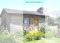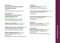**BEAR RIVER Bear River City DUP Pioneer Museum Lars Christensen Cabin HISTORY** 4600 West 5900 North | Bear River, 84713

**BRIGHAM CITY Box Elder Museum of Natural History Hervin Bunderson Center NATURAL HISTORY**  641 East 200 North | Brigham City, 84337 (435) 226-1439 | boxeldermuseum.org

**Brigham City DUP Cabin | HISTORIC SITE** 25 North 300 West | Brigham City, 84302

## **Brigham City Museum of Art & History | ART**

24 North 300 West | Brigham City, 84032 (435) 723-6769 | brighamcitymuseum.org

#### **World of Puppetry Museum | PUPPETS**

58 South 100 West Brigham City, 84337 (435) 723-0740 bcfineartscenter.org/world-of-puppetry-museum **COALVILLE Coalville DUP Museum | HISTORY** 101 South Main Street | Coalville, 84017

**Echo Historical Church and Museum | HISTORY** 60 Temple Lane | Coalville, 84017 (435) 336-3015

#### **Summit County Historical Museum | HISTORY**

60 North Main | Coalville, 84017 (435) 336-3025

#### **HENEFER**

**DUP Henefer Camp Museum | HISTORY** 40 West Center Street | Henefer, 84033

## **HUNTSVILLE**

**Huntsville Historical Museum | HISTORY** 200 South 7400 East | Huntsville, 84317 (801) 745-3240 huntsvilletown.com/huntsville-history-library/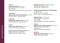#### **HYRUM**

**Hyrum City Museum | HISTORY**

50 West Main Street | Hyrum, 84319 (435) 245-0208 sites.google.com/a/hyrumcity.com/hyrum-city-museum/

#### **LAKETOWN**

**Laketown DUP Relic Hall Camp Ithaca | HISTORY**  185 East 1st Street | Laketown, 84038

#### **LEWISTON**

**Lewiston DUP - Wheeler Cabin | HISTORY** 2550 West 2000 South | Lewiston, 84320

## **LOGAN**

**Cache County DUP Museum | HISTORY** 160 North Main Street | Logan, 84331

#### **Nora Eccles Harrison Museum of Art | ART**

650 North 1100 East | Logan, 84322 (435) 797-0163 | artmuseum.usu.edu/

#### **Stokes Nature Center | NATURAL HISTORY**

2696 East Hwy 89 | Logan, 84323 (435) 755-7545 | logannature.org

## **Utah State University Museum of Anthropology ANTHROPOLOGY** 730 Old Main Hill | Logan, 84321

(435) 797-7545 | usu.edu/anthro/museum/

#### **Willow Park Zoo | ZOOLOGICAL**

419 West 700 South | Logan, 84321 (435) 750-9894 loganutah.org/parks\_and\_rec/willow\_park/index.cfm

#### **MANILA**

## **Daggett County Centennial Museum | HISTORY** 95 North 1st West | Manila, 84046 (435) 784-3210 daggettcounty.org/index.aspx?NID=91

#### **MORGAN**

**Morgan County DUP Museum | HISTORY** 33 North State | Morgan, 84050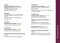**OGDEN Wildlife Rehabilitation Center of Northern Utah | NATURAL HISTORY** 1490 Park Blvd | Ogden, 84401 (801) 814-7888 | wrcnu.org

#### **PARADISE**

**Paradise Sagwich Camp DUP Museum HISTORY**  8980 South 200 West | Paradise, 84328 (435) 245-3549

**RANDOLF Randolph DUP Relic Hall | HISTORY** 155 South 100 East | Randolph, 84064

**RICHMOND Richmond DUP Museum | HISTORY** East Main Street | Richmond, 84333

**Richmond Pioneer Relic Hall DUP Museum HISTORY** 26 South State Street | Richmond, 84333

## **SMITHFIELD**

## **Smithfield Historical Society | HISTORY**

248 West 100 North | Smithfield, 84335 (435) 563-5586 rootsweb.ancestry.com/~utcache/smithfieldhistoricalsociety/index.htm

## **TREMONTON**

**Bear River Valley Museum | HISTORY** 11 East Main | Tremonton, 84301

## **Holmgren Historical Farm & Gardens HISTORY**

460 North 300 East | Tremonton, 84302 (435) 279-0072 | holmgrenhistoricalfarm.org

**Midland Camp DUP | HISTORY**

1 East Main Street | Tremonton, 84337

**Wagon Land Adventure Foundation HISTORY**

8750 West 11200 North | Tremonton, 84337 (435) 279-6422 | wagonlandadventure.com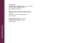## **WELLSVILLE**

**American West Heritage Center | LIVING HISTORY**

4025 S Hwy 89-91 | Wellsville, 84339 (435) 245-6050 | awhc.org

#### **Northwest Band of Shoshone Nation Museum**

**HISTORY** 4025 South Hwy 89-91 | Wellsville, 84339 (435) 245-6050

#### **Wellsville DUP Museum | HISTORY**

75 South 100 East | Wellsville, 84339 (435) 245-3643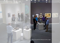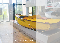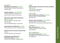#### **BLANDING**

**Blanding Pioneer Museum | HISTORY**

12 North Grayson Parkway | Blanding 84511 (435) 678-3662

#### **Dinosaur Museum | PALEONTOLOGY**

754 South 200 West | Blanding, 84511 (435) 678-3454 | dinosaur-museum.org

#### **Edge of the Cedars State Park Museum NATURAL HISTORY**

660 West 400 North | Blanding, 84511 (435) 678-3348 utah.com/stateparks/edge\_of\_cedars.htm

## **Hucks Museum & Trading Post | HISTORY**

1387 South Main Street 79-1 | Blanding, 84511

## **Nations of the Four Corners Cultural Center HISTORY**

333 West 500 North | Blanding, 84511

## **Southeastern Utah Museum of the American West | HISTORY** 1106 East Flour Mill Road | Blanding, 84511

#### **BLUFF**

**Bluff Fort Historic Site-Hole in the Rock Foundation HISTORIC SITE** 5 East Hwy 191 | Bluff, 84512 (435) 672-9995 | hirf.org

## **CASTLE DALE**

#### **Emery County Pioneer Museum | HISTORY**

64 East 100 North | Castle Dale, 84513 (435) 381-5154

## **Museum of the San Rafael | PALEONTOLOGY**

64 North 100 East |Castle Dale, 84513 (435) 381-5252 | emerycounty.com/sanrafaelmuseum/

## **DUCHESNE**

**Pope House Museum | HISTORY** 370 West 100 North | Duchesne, 84021 (435) 738-2464

## **EAST CARBON CITY**

#### **East Carbon City Museum | HISTORY**

127 Whitmore Drive | East Carbon City, 84520 (435) 888-0262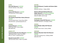**ELMO Elmo DUP Museum | HISTORY** 50 South 100 East | Elmo, 84521

#### **FRANCIS**

**Francis DUP Museum | HISTORY** 1755 Oak Lane | Francis, 84036

## **GREEN RIVER**

**John Wesley Powell River History Museum HISTORY** 1765 East Main Street | Green River, 84525 (435) 564-3427 | johnwesleypowell.com

## **HANNA**

**Snooks Museum | HISTORY** 40944 West SR35 | Hanna, 84031 (801) 848-5476

## **HEBER CITY**

#### **Commemorative Air Force Museum | MILITARY**

1980 Airport Road | Heber City, 84032 (801) 577-4613 | cafutahwing.org

**Wasatch County DUP | HISTORY** 188 South Main Street | Heber City, 84032

#### **HELPER**

**Price DUP Museum / Leander and Grimes Cabins HISTORY**  500 North 100 East | Helper, 84501

**Western Mining & Railroad Museum Helper Museum | Railroad & Mining** 294 South Main Street | Helper, 84526 (435) 472-3009 | wmrrm.org

#### **HUNTINGTON**

**Huntington Camp DUP Museum | HISTORY** 135 West 100 North | Huntington, 84528

#### **KAMAS**

**Kamas/Rhodes Valley DUP Museum HISTORY** 91 West Center Street | Kamas, 84036

#### **MIDWAY**

**Wasatch Mountain State Park Museum HISTORY** 1281 Warm Springs Drive | Midway, 84049 (435) 654-1791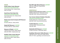#### **MOAB**

## **Arches Visitor Center Museum GEOLOGY & PALEONTOLOGY**

Arches National Park | Moab, 84532 (435) 719-2100

## **Dead Horse Point State Park**

## **GEOLOGY & PALEONTOLOGY**

End of State Route 313 | Moab, 84532 (435) 259-2614

#### **Moab Camp Grand Company DUP Museum HISTORY** 65 North 200 East | Moab, 84532

## **Moab DUP Museum | HISTORY**

45 North 200 East | Moab, 84532

## **Museum of Moab | HISTORY**

118 East Center Street | Moab, 84532 (435) 259-7985 | moabmuseum.org

## **Needles Visitor Center Museum GEOLOGY & PALEONTOLOGY**

2282 Resource Blvd | Moab, 84532 (435) 719-2313

**Red Cliff Lodge Movie Museum | HISTORY**

Mile Post 14 Hwy 28 | Moab, 84532 (866) 812-2002

## **MONTICELLO**

**Canyon Country Discovery Center | MUSEUM** 949 North Main Street | Monticello, 84535 (435) 587-2156 | fourcornersschool.org

#### **Four Corners School of Outdoor Education GEOLOGY & PALEONTOLOGY**

49 West 600 South | Monticello, 84535 (435) 587-2156 | fourcornersschool.org

## **Frontier Museum | HISTORY**

216 South Main | Monticello, 84535 (435) 587-3401

#### **Monticello DUP Museum | HISTORY** 16 West 2nd South | Monticello, 84535

## **Goulding's Monument Valley Museum | HISTORY**

1000 Main Street | Monument Valley, 84536 (435) 727-3231 | gouldings.com/new/museum/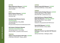#### **MYTON**

**Myton Memories Museum | HISTORY**

150 East Main Street | Myton, 84052 (435) 722-6090

#### **PRICE**

#### **Bryner Pioneer Museum | HISTORY**

68 South 100 East | Price, 84501 (435) 636-1399

## **Cleveland Lloyd Dinosaur Quarry**

**PALEONTOLOGY** 123 South 600 West | Price, 84501 (435) 636-3600 blm.gov/ut/st/en/fo/price/recreation/quarry.html

## **USU Eastern Prehistoric Museum**

#### **GEOLOGY & PALEONTOLOGY**

155 East Main Street | Price, 84501 (435) 613-5060 | usueastern.edu/museum/

#### **TABIONA**

**Tabiona-Camp Sacajawea DUP Cabin | HISTORY** 37700 West 3750 North | Tabiona, 84072

#### **UINTAH**

**Uintah County DUP Museum | HISTORY** 1314 North 2500 West | Vernal, 84078

#### **VERNAL**

**Uintah County Heritage Museum | HISTORY** 155 East Main Street | Vernal, 84078 (435) 789-7399 | uintahmuseum.org

## **Utah Field House of Natural History**

#### **State Park Museum | NATURAL HISTORY**

496 East Main Street | Vernal, 84078 (435) 789-3799 stateparks.utah.gov/parks/utah-field-house/

**Vernal DUP Museum | HISTORY** 186 South 500 West | Vernal, 84078

## **WELLINGTON**

**Wellington Pioneer Log Cabin DUP Museum HISTORY**  100 East North Main | Wellington, 84542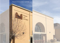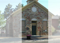Tooele Company DUP Museum, Tooele

ĸ.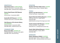## **GRANTSVILLE Clark Historic Farm | LIVING HISTORY** 378 West Clark Street | Grantsville, 84029 (435) 884-4409 | clarkhistoricfarm.blogspot.com

#### **Donner Reed Pioneer DUP Museum HISTORY**

429 East Main | Grantsville, 84029

## **Grantsville DUP Museum | HISTORY**

378 West Clark street | Grantsville, 84029

## **Utah Museum of Fire Service History OCCUPATIONAL**

444 Quirk Street | Grantsville, 84029 (435) 884-4040 | utahfiremuseum.com

#### **STANSBURY PARK**

**Benson Grist Mill | HISTORIC SITE** 325 State Road 138 | Stansbury Park, 84074 (435) 882-7678 | bensonmill.org

**STOCKTON Stockton DUP Rush Valley Camp | HISTORY** 18 North Johnson Street | Stockton, 84071

## **TOOELE**

**Gowans Log Cabin Museum | HISTORY** 47 East Vine Street | Tooele, 84074

## **Oquirrh Mountain Mining Museum | MINING**

2930 West Hwy 112 | Tooele, 84074 (435) 843-4002 exploretooele.com/oquirrhminingmuseum.html

## **Tooele Company DUP Museum | HISTORY**

47 East Vine Street | Tooele, 84074 (435) 843-0771 | tooelepioneermuseum.org

## **Tooele Valley Railroad Museum | MINING**

35 North Broadway | Tooele, 84074 (435) 882-2836

## **WENDOVER**

#### **Historic Wendover Airfield | AVIATION** 345 South Airport Apron | Wendover, 84083 (801) 665-2308 | wendoverairbase.com/museum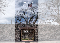## Cove Fort Historic Site, Cove Fort



松中

大社网

弥

Atatu

K.

**CONTROL** 

**CO HISS** 

**OF AU** 

 $\frac{1}{2}$ 

**ALL R COLMAND** 比較的 **COMPANY**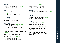**BEAVER Beaver County DUP Museum | HISTORY** 9 East Center Street | Beaver, 84713

**BICKNELL Bicknell DUP Thurber Relief Society Hall HISTORY** 88 West Main Street | Bicknell, 84715

**CENTERFIELD Centerfield Camp DUP | HISTORY** 150 South Main | Centerfield, 84622

#### **COVE FORT**

**Cove Fort Historic Site | HISTORIC SITE**

Junction I-80 and I-15 | Cove Fort, 84713 (435) 439-5547 | lds.org/locations/cove-fort-historic-site

## **DELTA**

**Delta DUP Museum - McCullough Log Cabin HISTORY**  195 West Main Street | Delta, 84624

**Great Basin Museum | HISTORY** 45 West Main Street | Delta, 84624 (435) 864-5013 | greatbasinmuseum.com **Topaz Museum | HISTORY** 55 West Main Street | Delta, 84624 (435) 864-2514 | topazmuseum.org

## **DESERET**

**Fanny Powell Cropper DUP Museum | HISTORY** 4365 South 4000 West | Deseret, 84624

## **ELSINORE**

**Camp Belknap DUP Museum | HISTORY** 15 East 200 North | Elsinore, 84724

## **EPHRAIM**

**Ephraim DUP Museum | HISTORY** 85 West 100 North | Ephraim, 84627

## **Ephraim Homestead | HISTORIC SITE**

135 West 100 North | Ephraim, 84627 (435) 340-0876

#### **Snow College Fine Arts Gallery | ART**

150 East College Avenue | Ephraim, 84627 (435) 283-7416 snow.edu/academics/fineart/art/scag.html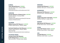## **EUREKA**

**Tintic Mining Museum | MINING**

241 West Main Street | Eureka, 84628 (435) 433-2054 utahoutdooractivities.com/eurekamuseum.html

## **FAIRVIEW**

#### **Fairview Museum of History & Art | HISTORY**

85 North 100 East | Fairview, 84629 (435) 427-9216 sanpetecounty.org/businesses/show/313-fairviewmuseum-of-history-and-art

**FILLMORE Millard County DUP Museum | HISTORY** 50 West Capitol Avenue | Fillmore, 84631

## **Territorial Statehouse Park Museum | HISTORY**

50 West Capitol Avenue | Fillmore, 84631 (435) 743-5316 stateparks.utah.gov/parks/territorial-statehouse

**FOUNTAIN GREEN Fountain Green DUP Museum & Old Tithing House | HISTORIC SITE** Main and Center | Fountain Green, 84632 **FREMONT Fremont DUP Museum | HISTORY** 300 West 100 South | Fremont, 84747

# **GLENWOOD**

**Glenwood DUP Museum | HISTORY** 225 East Center | Glenwood, 84739

#### **JOSEPH**

**Joseph Camp Clear Creek DUP | HISTORY** 100 North 100 East | Joseph, 84739

## **KANOSH**

**Sally Kanosh DUP Museum | HISTORY** 40 West Main Street | Kanosh, 84637

#### **LEVAN**

**Levan DUP Chicken Creek | HISTORY** 50 West Center Street | Levan, 84639

#### **LOA**

**Loa DUP Museum | HISTORY** 100 West Center Street | Loa, 84747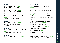## **MANTI**

**Manti DUP Log Cabin | HISTORY** 94 West 300 North | Manti, 84642

## **Manti Historic City Hall | HISTORY**

191 North Main Street | Manti, 84642 (435) 835-2401 | historicmantihall.com

#### **Patten House and Old Manti School DUP**

**HISTORY**  100 West 300 North | Manti, 84642

#### **MONA**

#### **Mount Nebo Camp DUP | HISTORY** 350 North Main (in pioneer cemetery) Mona, 84645

**MONROE Monroe DUP Museum / Camp Alma Relic Hall HISTORY** 155 North Main Street | Monroe, 84754

**MORONI Sanpitch DUP Camp Museum | HISTORY** 22 North 100 West | Moroni, 84646

## **MT PLEASANT Wasatch Academy: Liberal Hall Museum HISTORY**

67 West Main Street | Mt Pleasant, 84647 (435) 462-0415 | wasatchacademymuseum.org

## **Mt Pleasant Pioneer Museum & Relic Home HISTORY**

150 South State Street | Mt. Pleasant, 84647 (435) 462-2456 | mtpleasantpioneer.blogspot.com

## **NEPHI**

**Juab Company DUP Antique Agricultural Equipment Museum | HISTORY** 100 West Center Street | Nephi, 84648

**Juab County DUP Museum | HISTORY** 4 South Main Street | Nephi, 84648

**Nephi DUP Cabin | HISTORY** 100 East 500 North | Nephi, 84648

## **REDMOND Redmond Camp Christine DUP Cabin | HISTORY** 185 South Center Street | Redmond, 84652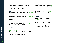## **RICHFIELD Richfield Pioneer Relic Hall DUP Museum HISTORY** 25 North 100 East | Richfield, 84701

**SALINA Salina Pioneer Relic Hall DUP Museum | HISTORY** 236 South 200 East | Salina, 84654

#### **Miss Mary's Salina Historical Museum | HISTORY**

204 South 100 East | Salina, 84654 (435) 529-4108

## **SCIPIO**

**Round Valley Camp DUP Museum | HISTORY** 55 North State Street | Scipio, 84656

#### **SEVIER**

**Fremont Indian State Park and Museum**

#### **NATURAL HISTORY**

3820 West Clear Creek Canyon Road | Sevier, 84766 (451) 527-4631 stateparks.utah.gov/parks/fremont-indian/

## **STERLING**

**Camp Arropine DUP Collection | HISTORY** 36 North Center Street | Sterling, 84665

**TEASDALE Teasdale DUP Museum | HISTORY** 480 East 100 North | Teasdale, 84773 (435) 836-2406

## **TORREY**

**Capitol Reef Visitor Center Museum HISTORY** HC 70 Box 15 | Torrey, 84775 (435) 425-3791 | www.nps.gov/care

## **Torrey DUP Museum | HISTORY**

49 East Main Street | Torrey, 84775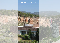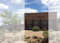

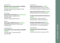## **BIG WATER**

#### **Big Water Visitor Center Museum, GSENM GEOLOGY & PALEONTOLOGY**

100 Upper Revolution Way | Big Water, 84716 (435) 335-7382

## **BOULDER**

## **Anasazi State Park Museum | ARCHEOLOGY**

460 North Hwy 12 | Boulder, 84716 (435) 335-7308 stateparks.utah.gov/parks/anasazi/

#### **BRYCE**

#### **Paunsaugunt Wildlife Museum | SCIENCE**

1945 West Scenic Byway 12 | Bryce, 84764 (435) 834-5555

## **CANNONVILLE**

## **Cannonville Visitor Center Museum GSENM HISTORY**

10 Center Street | Cannonville, 84718 (435) 679-8981

## **CEDAR CITY**

#### **Cedar City DUP Museum | HISTORY**

581 North Main Street | Cedar City, 84720 coalcreekcamp.wordpress.com/dup-museum/

#### **Cedar City DUP Pioneer Cabin | HISTORY**

585 North Main Street | Cedar City, 84720

## **Frontier Homestead State Park Museum HISTORY**

635 North Main | Cedar City, 84720 (435) 586-9290 | frontierhomestead.org

#### **Southern Utah Museum of Art | ART**

351 West Center Street | Cedar City, 84720 (435) 586-5432 | suu.edu/pva/artgallery/

## **ENTERPRISE**

## **Enterprise Pilot Peak DUP Museum HISTORY**

24 South Center Street | Enterprise, 84725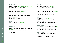#### **ESCALANTE**

**Escalante Center | GEOLOGY & PALEONTOLOGY**

60 West Main Street | Escalante, 84726 (435) 826-4660

**Escalante DUP Museum | HISTORY**

30 West Center | Escalante, 84726

**Escalante Interagency Visitor Center Museum, GSENM | HISTORY** 755 West Main | Escalante, 84726

**HATCH Hatch DUP Museum | HISTORY** 71 West Center Street | Hatch, 84735

#### **HURRICANE**

**Hurricane Valley Heritage Park Pioneer Museum HISTORY** 35 West State Street | Hurricane, 84737 (435) 635-3245

#### **KANAB**

**Kanab Heritage Museum | HISTORY** 115 South Main Street | Kanab, 84741 (435) 644-1852 | kanabheritage.com

**Little Hollywood Movie Museum | HISTORY**

297 West Center Street | Kanab, 84741 (435) 644-5337 | frontiermovietown.com

#### **LEEDS**

**Silver Reef Museum | HISTORY** 1903 Wells Fargo Road | Leeds, 84746 (435) 632-1733 | wchsutah.org/museums/silver-reef-museum.htm

#### **MT. CARMEL**

**Thunderbird Foundation for the Arts | ART** Hwy 89 - Mile Marker 84 | Mt Carmel, 84755 (801) 598-0376 | thunderbirdfoundation.com

#### **ORDERVILLE**

**Orderville Kane County DUP Museum HISTORY** 100 East State Street | Orderville, 84758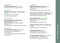**PANGUITCH Panguitch DUP Museum | HISTORY** 105 East Center Street | Panguitch, 84759

#### **PAROWAN**

## **Old Rock Church Museum - Parowan DUP HISTORY**

90 South Main | Parowan, 84761 kaneutah.com/museums.htm

## **SANTA CLARA**

#### **Samuel R. Knight Santa Clara History Society Museum | HISTORY** 2603 Santa Clara Drive | Santa Clara, 84765 (435) 879-5297

wchsutah.org/museums/santa-clara-museum.php

## **SPRINGDALE**

#### **Zion Human History Museum | HISTORY**

Zion National Park | Springdale, 84767 (435) 772-3256 nps.gov/zion/historyculture/zion-human-history -museum.htm

## **ST. GEORGE**

## **Brigham Young Winter Home | HISTORY**

67 West 200 North | St George, 84770 (435) 673-2517 lds.org/locations/brigham-young-winter-home

#### **Dixie State University Sears Art Museum | ART**

155 South University Avenue | St George, 84770 (435) 652-7905 | dixieculturalarts.com

## **Jacob Hamblin Home | HISTORIC SITE**

490 South 300 East | St George, 84770 (435) 673-2161 lds.org/locations/jacob-hamblin-home

### **McQuarrie Memorial Pioneer DUP Museum HISTORY** 145 North 100 East | St. George, 84770

## **St George Art Museum | ART**

47 East 200 North | St George, 84770 (435) 627-4525 | sgcity.org/artmuseum

#### **St. George Children's Museum | CHILDREN'S** 86 South Main Street | St George, 84770 (435) 986-4000 | sgchildrensmuseum.org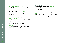#### **St George Dinosaur Discovery Site**

**GEOLOGY & PALEONTOLOGY**

2180 East Riverside Drive | St George, 84790 (435) 574-3466 | utahdinosaurs.com

#### **Utah Windmill Museum | HISTORY**

987 South River Road | St George, 84790 (435) 673-9011

#### **Rosenbruch Wildlife Museum**

#### **NATURAL HISTORY**

1835 Convention Center Drive | St George, 84790 (435) 656-0033 | rosenbruch.org

## **Western Sky Aviation Warbird Museum**

#### **AVIATION**

4196 South Airport Parkway | St George, 84790 (435) 669-0655 | westernskywarbirds.org

#### **WASHINGTON**

**Southern Utah Air Museum | AVIATION** 400 West Telegraph | Washington, 84780 (435) 656-8292

#### **Washington City Historical Society Museum HISTORY**

2651 Washington Fields Road | Washington, 84780 (435) 275-7409 | wchsutah.org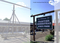Frontier Homestead State Park, Cedar City

**RE Welcome &** 

**STATE PARK** 

HO

TEA